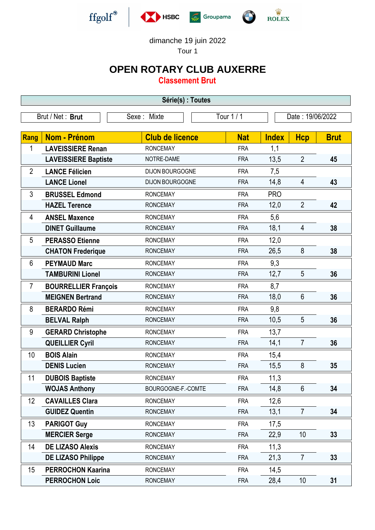

dimanche 19 juin 2022

Tour 1

## **OPEN ROTARY CLUB AUXERRE**

**Classement Brut**

| Série(s) : Toutes                                                 |                             |                        |            |              |                 |             |
|-------------------------------------------------------------------|-----------------------------|------------------------|------------|--------------|-----------------|-------------|
| Tour 1 / 1<br>Brut / Net: Brut<br>Date: 19/06/2022<br>Sexe: Mixte |                             |                        |            |              |                 |             |
|                                                                   |                             |                        |            |              |                 |             |
| Rang                                                              | <b>Nom - Prénom</b>         | <b>Club de licence</b> | <b>Nat</b> | <b>Index</b> | <b>Hcp</b>      | <b>Brut</b> |
| 1                                                                 | <b>LAVEISSIERE Renan</b>    | <b>RONCEMAY</b>        | <b>FRA</b> | 1,1          |                 |             |
|                                                                   | <b>LAVEISSIERE Baptiste</b> | NOTRE-DAME             | <b>FRA</b> | 13,5         | $\overline{2}$  | 45          |
| $\overline{2}$                                                    | <b>LANCE Félicien</b>       | DIJON BOURGOGNE        | <b>FRA</b> | 7,5          |                 |             |
|                                                                   | <b>LANCE Lionel</b>         | DIJON BOURGOGNE        | <b>FRA</b> | 14,8         | $\overline{4}$  | 43          |
| 3                                                                 | <b>BRUSSEL Edmond</b>       | <b>RONCEMAY</b>        | <b>FRA</b> | <b>PRO</b>   |                 |             |
|                                                                   | <b>HAZEL Terence</b>        | <b>RONCEMAY</b>        | <b>FRA</b> | 12,0         | $\overline{2}$  | 42          |
| 4                                                                 | <b>ANSEL Maxence</b>        | <b>RONCEMAY</b>        | <b>FRA</b> | 5,6          |                 |             |
|                                                                   | <b>DINET Guillaume</b>      | <b>RONCEMAY</b>        | <b>FRA</b> | 18,1         | 4               | 38          |
| 5                                                                 | <b>PERASSO Etienne</b>      | <b>RONCEMAY</b>        | <b>FRA</b> | 12,0         |                 |             |
|                                                                   | <b>CHATON Frederique</b>    | <b>RONCEMAY</b>        | <b>FRA</b> | 26,5         | 8               | 38          |
| 6                                                                 | <b>PEYMAUD Marc</b>         | <b>RONCEMAY</b>        | <b>FRA</b> | 9,3          |                 |             |
|                                                                   | <b>TAMBURINI Lionel</b>     | <b>RONCEMAY</b>        | <b>FRA</b> | 12,7         | 5               | 36          |
| $\overline{7}$                                                    | <b>BOURRELLIER François</b> | <b>RONCEMAY</b>        | <b>FRA</b> | 8,7          |                 |             |
|                                                                   | <b>MEIGNEN Bertrand</b>     | <b>RONCEMAY</b>        | <b>FRA</b> | 18,0         | 6               | 36          |
| 8                                                                 | <b>BERARDO Rémi</b>         | <b>RONCEMAY</b>        | <b>FRA</b> | 9,8          |                 |             |
|                                                                   | <b>BELVAL Ralph</b>         | <b>RONCEMAY</b>        | <b>FRA</b> | 10,5         | 5               | 36          |
| 9                                                                 | <b>GERARD Christophe</b>    | <b>RONCEMAY</b>        | <b>FRA</b> | 13,7         |                 |             |
|                                                                   | <b>QUEILLIER Cyril</b>      | <b>RONCEMAY</b>        | <b>FRA</b> | 14,1         | $\overline{7}$  | 36          |
| 10                                                                | <b>BOIS Alain</b>           | <b>RONCEMAY</b>        | <b>FRA</b> | 15,4         |                 |             |
|                                                                   | <b>DENIS Lucien</b>         | <b>RONCEMAY</b>        | <b>FRA</b> | 15,5         | 8               | 35          |
| 11                                                                | <b>DUBOIS Baptiste</b>      | <b>RONCEMAY</b>        | <b>FRA</b> | 11,3         |                 |             |
|                                                                   | <b>WOJAS Anthony</b>        | BOURGOGNE-F.-COMTE     | <b>FRA</b> | 14,8         | $6\phantom{1}$  | 34          |
| 12                                                                | <b>CAVAILLES Clara</b>      | <b>RONCEMAY</b>        | <b>FRA</b> | 12,6         |                 |             |
|                                                                   | <b>GUIDEZ Quentin</b>       | <b>RONCEMAY</b>        | <b>FRA</b> | 13,1         | $\overline{7}$  | 34          |
| 13                                                                | <b>PARIGOT Guy</b>          | <b>RONCEMAY</b>        | <b>FRA</b> | 17,5         |                 |             |
|                                                                   | <b>MERCIER Serge</b>        | <b>RONCEMAY</b>        | <b>FRA</b> | 22,9         | 10              | 33          |
| 14                                                                | <b>DE LIZASO Alexis</b>     | <b>RONCEMAY</b>        | <b>FRA</b> | 11,3         |                 |             |
|                                                                   | <b>DE LIZASO Philippe</b>   | <b>RONCEMAY</b>        | <b>FRA</b> | 21,3         | $\overline{7}$  | 33          |
| 15                                                                | <b>PERROCHON Kaarina</b>    | <b>RONCEMAY</b>        | <b>FRA</b> | 14,5         |                 |             |
|                                                                   | <b>PERROCHON Loic</b>       | <b>RONCEMAY</b>        | <b>FRA</b> | 28,4         | 10 <sup>1</sup> | 31          |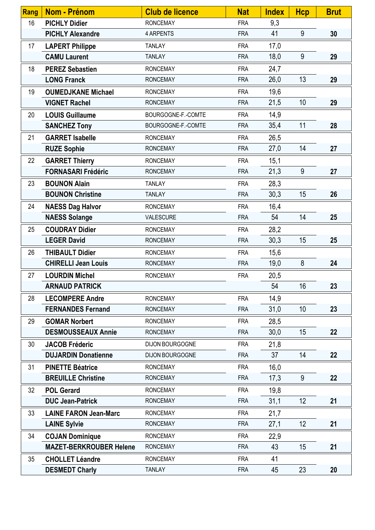| <b>Rang</b> | Nom - Prénom                   | <b>Club de licence</b> | <b>Nat</b> | <b>Index</b> | <b>Hcp</b> | <b>Brut</b> |
|-------------|--------------------------------|------------------------|------------|--------------|------------|-------------|
| 16          | <b>PICHLY Didier</b>           | <b>RONCEMAY</b>        | <b>FRA</b> | 9,3          |            |             |
|             | <b>PICHLY Alexandre</b>        | 4 ARPENTS              | <b>FRA</b> | 41           | 9          | 30          |
| 17          | <b>LAPERT Philippe</b>         | <b>TANLAY</b>          | <b>FRA</b> | 17,0         |            |             |
|             | <b>CAMU Laurent</b>            | <b>TANLAY</b>          | <b>FRA</b> | 18,0         | 9          | 29          |
| 18          | <b>PEREZ Sebastien</b>         | <b>RONCEMAY</b>        | <b>FRA</b> | 24,7         |            |             |
|             | <b>LONG Franck</b>             | <b>RONCEMAY</b>        | <b>FRA</b> | 26,0         | 13         | 29          |
| 19          | <b>OUMEDJKANE Michael</b>      | <b>RONCEMAY</b>        | <b>FRA</b> | 19,6         |            |             |
|             | <b>VIGNET Rachel</b>           | <b>RONCEMAY</b>        | <b>FRA</b> | 21,5         | 10         | 29          |
| 20          | <b>LOUIS Guillaume</b>         | BOURGOGNE-F.-COMTE     | <b>FRA</b> | 14,9         |            |             |
|             | <b>SANCHEZ Tony</b>            | BOURGOGNE-F.-COMTE     | <b>FRA</b> | 35,4         | 11         | 28          |
| 21          | <b>GARRET Isabelle</b>         | <b>RONCEMAY</b>        | <b>FRA</b> | 26,5         |            |             |
|             | <b>RUZE Sophie</b>             | <b>RONCEMAY</b>        | <b>FRA</b> | 27,0         | 14         | 27          |
| 22          | <b>GARRET Thierry</b>          | <b>RONCEMAY</b>        | <b>FRA</b> | 15,1         |            |             |
|             | <b>FORNASARI Frédéric</b>      | <b>RONCEMAY</b>        | <b>FRA</b> | 21,3         | 9          | 27          |
| 23          | <b>BOUNON Alain</b>            | <b>TANLAY</b>          | <b>FRA</b> | 28,3         |            |             |
|             | <b>BOUNON Christine</b>        | <b>TANLAY</b>          | <b>FRA</b> | 30,3         | 15         | 26          |
| 24          | <b>NAESS Dag Halvor</b>        | <b>RONCEMAY</b>        | <b>FRA</b> | 16,4         |            |             |
|             | <b>NAESS Solange</b>           | VALESCURE              | <b>FRA</b> | 54           | 14         | 25          |
| 25          | <b>COUDRAY Didier</b>          | <b>RONCEMAY</b>        | <b>FRA</b> | 28,2         |            |             |
|             | <b>LEGER David</b>             | <b>RONCEMAY</b>        | <b>FRA</b> | 30,3         | 15         | 25          |
| 26          | <b>THIBAULT Didier</b>         | <b>RONCEMAY</b>        | <b>FRA</b> | 15,6         |            |             |
|             | <b>CHIRELLI Jean Louis</b>     | <b>RONCEMAY</b>        | <b>FRA</b> | 19,0         | 8          | 24          |
| 27          | <b>LOURDIN Michel</b>          | <b>RONCEMAY</b>        | <b>FRA</b> | 20,5         |            |             |
|             | <b>ARNAUD PATRICK</b>          |                        |            | 54           | 16         | 23          |
| 28          | <b>LECOMPERE Andre</b>         | <b>RONCEMAY</b>        | <b>FRA</b> | 14,9         |            |             |
|             | <b>FERNANDES Fernand</b>       | <b>RONCEMAY</b>        | <b>FRA</b> | 31,0         | 10         | 23          |
| 29          | <b>GOMAR Norbert</b>           | <b>RONCEMAY</b>        | <b>FRA</b> | 28,5         |            |             |
|             | <b>DESMOUSSEAUX Annie</b>      | <b>RONCEMAY</b>        | <b>FRA</b> | 30,0         | 15         | 22          |
| 30          | <b>JACOB Fréderic</b>          | DIJON BOURGOGNE        | <b>FRA</b> | 21,8         |            |             |
|             | <b>DUJARDIN Donatienne</b>     | DIJON BOURGOGNE        | <b>FRA</b> | 37           | 14         | 22          |
| 31          | <b>PINETTE Béatrice</b>        | <b>RONCEMAY</b>        | <b>FRA</b> | 16,0         |            |             |
|             | <b>BREUILLE Christine</b>      | <b>RONCEMAY</b>        | <b>FRA</b> | 17,3         | 9          | 22          |
| 32          | <b>POL Gerard</b>              | <b>RONCEMAY</b>        | <b>FRA</b> | 19,8         |            |             |
|             | <b>DUC Jean-Patrick</b>        | <b>RONCEMAY</b>        | <b>FRA</b> | 31,1         | 12         | 21          |
| 33          | <b>LAINE FARON Jean-Marc</b>   | <b>RONCEMAY</b>        | <b>FRA</b> | 21,7         |            |             |
|             | <b>LAINE Sylvie</b>            | <b>RONCEMAY</b>        | <b>FRA</b> | 27,1         | 12         | 21          |
| 34          | <b>COJAN Dominique</b>         | <b>RONCEMAY</b>        | <b>FRA</b> | 22,9         |            |             |
|             | <b>MAZET-BERKROUBER Helene</b> | <b>RONCEMAY</b>        | <b>FRA</b> | 43           | 15         | 21          |
| 35          | <b>CHOLLET Léandre</b>         | <b>RONCEMAY</b>        | <b>FRA</b> | 41           |            |             |
|             | <b>DESMEDT Charly</b>          | <b>TANLAY</b>          | <b>FRA</b> | 45           | 23         | 20          |